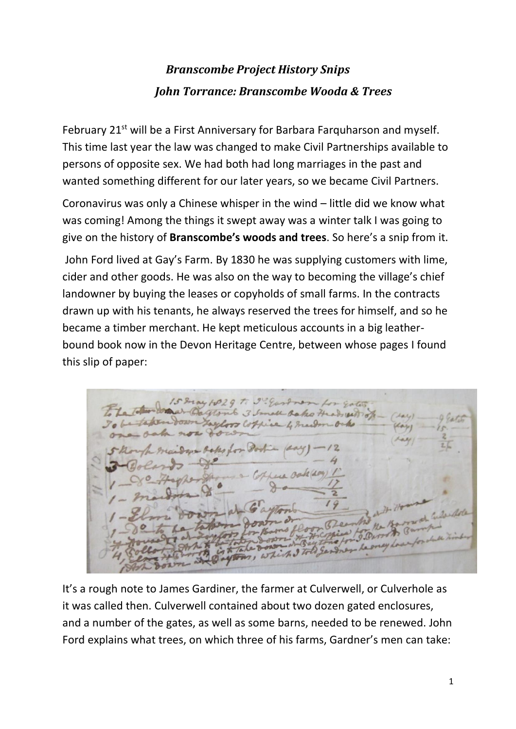## *Branscombe Project History Snips John Torrance: Branscombe Wooda & Trees*

February 21<sup>st</sup> will be a First Anniversary for Barbara Farguharson and myself. This time last year the law was changed to make Civil Partnerships available to persons of opposite sex. We had both had long marriages in the past and wanted something different for our later years, so we became Civil Partners.

Coronavirus was only a Chinese whisper in the wind – little did we know what was coming! Among the things it swept away was a winter talk I was going to give on the history of **Branscombe's woods and trees**. So here's a snip from it.

John Ford lived at Gay's Farm. By 1830 he was supplying customers with lime, cider and other goods. He was also on the way to becoming the village's chief landowner by buying the leases or copyholds of small farms. In the contracts drawn up with his tenants, he always reserved the trees for himself, and so he became a timber merchant. He kept meticulous accounts in a big leatherbound book now in the Devon Heritage Centre, between whose pages I found this slip of paper:

colored

It's a rough note to James Gardiner, the farmer at Culverwell, or Culverhole as it was called then. Culverwell contained about two dozen gated enclosures, and a number of the gates, as well as some barns, needed to be renewed. John Ford explains what trees, on which three of his farms, Gardner's men can take: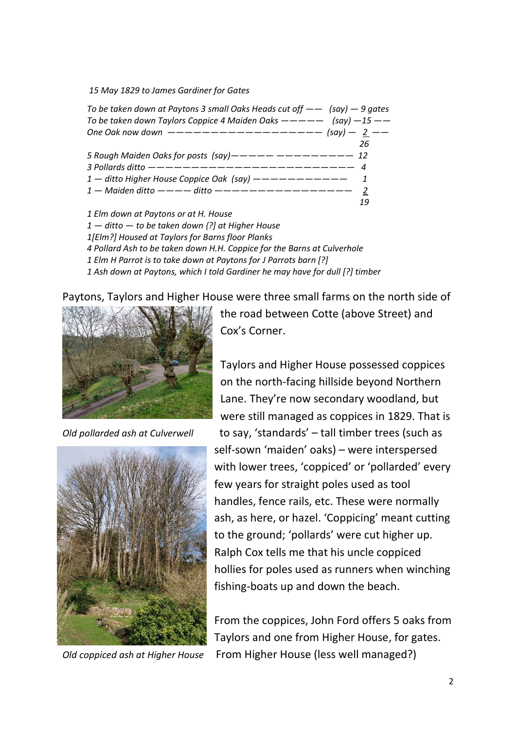*15 May 1829 to James Gardiner for Gates*

| To be taken down at Paytons 3 small Oaks Heads cut off $--$ (say) $-9$ gates |    |
|------------------------------------------------------------------------------|----|
| To be taken down Taylors Coppice 4 Maiden Oaks $--- -$ (say) $-15$ --        |    |
| One Oak now down $------------------$ (say) - 2 --                           |    |
|                                                                              | 26 |
| 5 Rough Maiden Oaks for posts $(say)$ - - - - - - - - - - - - - - 12         |    |
| 3 Pollards ditto ------------------------- 4                                 |    |
|                                                                              |    |
|                                                                              |    |
|                                                                              | 19 |
|                                                                              |    |

*1 Elm down at Paytons or at H. House 1 — ditto — to be taken down {?] at Higher House 1[Elm?] Housed at Taylors for Barns floor Planks 4 Pollard Ash to be taken down H.H. Coppice for the Barns at Culverhole 1 Elm H Parrot is to take down at Paytons for J Parrots barn [?] 1 Ash down at Paytons, which I told Gardiner he may have for dull [?] timber*

Paytons, Taylors and Higher House were three small farms on the north side of





the road between Cotte (above Street) and Cox's Corner.

Taylors and Higher House possessed coppices on the north-facing hillside beyond Northern Lane. They're now secondary woodland, but were still managed as coppices in 1829. That is *Old pollarded ash at Culverwell* to say, 'standards' – tall timber trees (such as self-sown 'maiden' oaks) – were interspersed with lower trees, 'coppiced' or 'pollarded' every few years for straight poles used as tool handles, fence rails, etc. These were normally ash, as here, or hazel. 'Coppicing' meant cutting to the ground; 'pollards' were cut higher up. Ralph Cox tells me that his uncle coppiced hollies for poles used as runners when winching fishing-boats up and down the beach.

From the coppices, John Ford offers 5 oaks from Taylors and one from Higher House, for gates. *Old coppiced ash at Higher House* From Higher House (less well managed?)